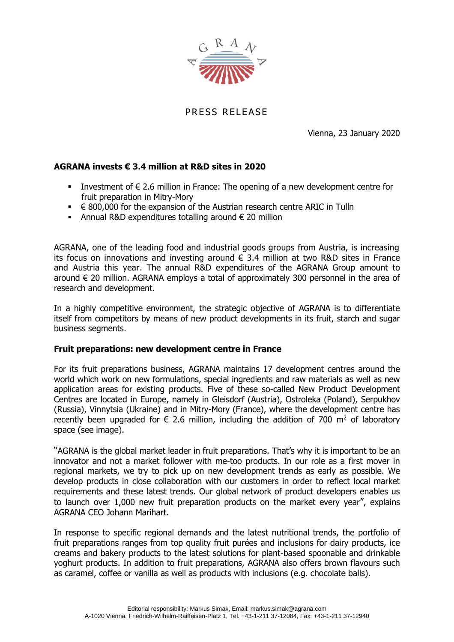

PRESS RELEASE

Vienna, 23 January 2020

## **AGRANA invests € 3.4 million at R&D sites in 2020**

- Investment of  $\epsilon$  2.6 million in France: The opening of a new development centre for fruit preparation in Mitry-Mory
- $\in$  800,000 for the expansion of the Austrian research centre ARIC in Tulln
- Annual R&D expenditures totalling around  $\epsilon$  20 million

AGRANA, one of the leading food and industrial goods groups from Austria, is increasing its focus on innovations and investing around  $\epsilon$  3.4 million at two R&D sites in France and Austria this year. The annual R&D expenditures of the AGRANA Group amount to around € 20 million. AGRANA employs a total of approximately 300 personnel in the area of research and development.

In a highly competitive environment, the strategic objective of AGRANA is to differentiate itself from competitors by means of new product developments in its fruit, starch and sugar business segments.

## **Fruit preparations: new development centre in France**

For its fruit preparations business, AGRANA maintains 17 development centres around the world which work on new formulations, special ingredients and raw materials as well as new application areas for existing products. Five of these so-called New Product Development Centres are located in Europe, namely in Gleisdorf (Austria), Ostroleka (Poland), Serpukhov (Russia), Vinnytsia (Ukraine) and in Mitry-Mory (France), where the development centre has recently been upgraded for  $\epsilon$  2.6 million, including the addition of 700 m<sup>2</sup> of laboratory space (see image).

"AGRANA is the global market leader in fruit preparations. That's why it is important to be an innovator and not a market follower with me-too products. In our role as a first mover in regional markets, we try to pick up on new development trends as early as possible. We develop products in close collaboration with our customers in order to reflect local market requirements and these latest trends. Our global network of product developers enables us to launch over 1,000 new fruit preparation products on the market every year", explains AGRANA CEO Johann Marihart.

In response to specific regional demands and the latest nutritional trends, the portfolio of fruit preparations ranges from top quality fruit purées and inclusions for dairy products, ice creams and bakery products to the latest solutions for plant-based spoonable and drinkable yoghurt products. In addition to fruit preparations, AGRANA also offers brown flavours such as caramel, coffee or vanilla as well as products with inclusions (e.g. chocolate balls).